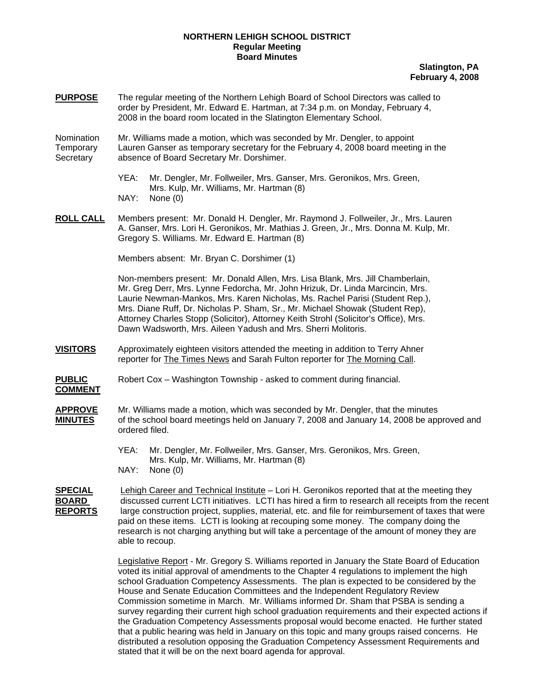## **NORTHERN LEHIGH SCHOOL DISTRICT Regular Meeting Board Minutes**

**Slatington, PA February 4, 2008**

**PURPOSE** The regular meeting of the Northern Lehigh Board of School Directors was called to order by President, Mr. Edward E. Hartman, at 7:34 p.m. on Monday, February 4, 2008 in the board room located in the Slatington Elementary School.

Nomination Mr. Williams made a motion, which was seconded by Mr. Dengler, to appoint Temporary Lauren Ganser as temporary secretary for the February 4, 2008 board meeting in the Secretary absence of Board Secretary Mr. Dorshimer.

- YEA: Mr. Dengler, Mr. Follweiler, Mrs. Ganser, Mrs. Geronikos, Mrs. Green, Mrs. Kulp, Mr. Williams, Mr. Hartman (8) NAY: None (0)
- **ROLL CALL** Members present: Mr. Donald H. Dengler, Mr. Raymond J. Follweiler, Jr., Mrs. Lauren A. Ganser, Mrs. Lori H. Geronikos, Mr. Mathias J. Green, Jr., Mrs. Donna M. Kulp, Mr. Gregory S. Williams. Mr. Edward E. Hartman (8)

Members absent: Mr. Bryan C. Dorshimer (1)

Non-members present: Mr. Donald Allen, Mrs. Lisa Blank, Mrs. Jill Chamberlain, Mr. Greg Derr, Mrs. Lynne Fedorcha, Mr. John Hrizuk, Dr. Linda Marcincin, Mrs. Laurie Newman-Mankos, Mrs. Karen Nicholas, Ms. Rachel Parisi (Student Rep.), Mrs. Diane Ruff, Dr. Nicholas P. Sham, Sr., Mr. Michael Showak (Student Rep), Attorney Charles Stopp (Solicitor), Attorney Keith Strohl (Solicitor's Office), Mrs. Dawn Wadsworth, Mrs. Aileen Yadush and Mrs. Sherri Molitoris.

**VISITORS** Approximately eighteen visitors attended the meeting in addition to Terry Ahner reporter for The Times News and Sarah Fulton reporter for The Morning Call.

**PUBLIC** Robert Cox – Washington Township - asked to comment during financial.

- **COMMENT**
- **APPROVE** Mr. Williams made a motion, which was seconded by Mr. Dengler, that the minutes **MINUTES** of the school board meetings held on January 7, 2008 and January 14, 2008 be approved and ordered filed.
	- YEA: Mr. Dengler, Mr. Follweiler, Mrs. Ganser, Mrs. Geronikos, Mrs. Green, Mrs. Kulp, Mr. Williams, Mr. Hartman (8) NAY: None (0)

**SPECIAL** Lehigh Career and Technical Institute – Lori H. Geronikos reported that at the meeting they **BOARD** discussed current LCTI initiatives. LCTI has hired a firm to research all receipts from the recent **REPORTS** large construction project, supplies, material, etc. and file for reimbursement of taxes that were paid on these items. LCTI is looking at recouping some money. The company doing the research is not charging anything but will take a percentage of the amount of money they are able to recoup.

> Legislative Report - Mr. Gregory S. Williams reported in January the State Board of Education voted its initial approval of amendments to the Chapter 4 regulations to implement the high school Graduation Competency Assessments. The plan is expected to be considered by the House and Senate Education Committees and the Independent Regulatory Review Commission sometime in March. Mr. Williams informed Dr. Sham that PSBA is sending a survey regarding their current high school graduation requirements and their expected actions if the Graduation Competency Assessments proposal would become enacted. He further stated that a public hearing was held in January on this topic and many groups raised concerns. He distributed a resolution opposing the Graduation Competency Assessment Requirements and stated that it will be on the next board agenda for approval.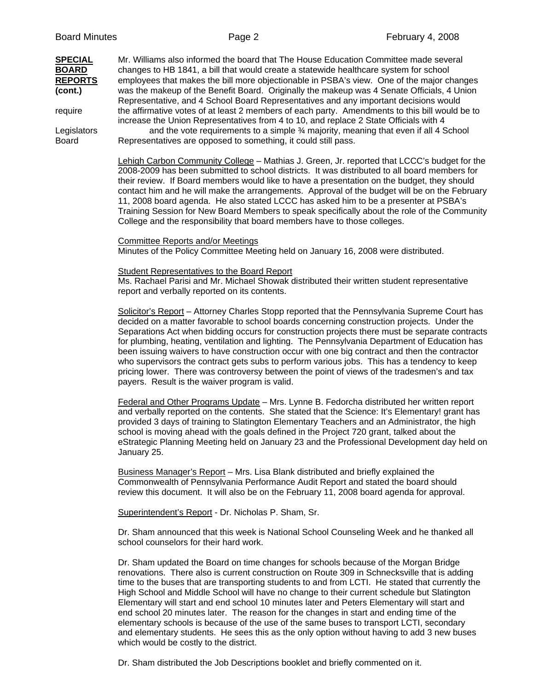| <b>SPECIAL</b><br><b>BOARD</b><br><b>REPORTS</b><br>(cont.)<br>require<br>Legislators<br><b>Board</b> | Mr. Williams also informed the board that The House Education Committee made several<br>changes to HB 1841, a bill that would create a statewide healthcare system for school<br>employees that makes the bill more objectionable in PSBA's view. One of the major changes<br>was the makeup of the Benefit Board. Originally the makeup was 4 Senate Officials, 4 Union<br>Representative, and 4 School Board Representatives and any important decisions would<br>the affirmative votes of at least 2 members of each party. Amendments to this bill would be to<br>increase the Union Representatives from 4 to 10, and replace 2 State Officials with 4<br>and the vote requirements to a simple 3/4 majority, meaning that even if all 4 School<br>Representatives are opposed to something, it could still pass. |
|-------------------------------------------------------------------------------------------------------|------------------------------------------------------------------------------------------------------------------------------------------------------------------------------------------------------------------------------------------------------------------------------------------------------------------------------------------------------------------------------------------------------------------------------------------------------------------------------------------------------------------------------------------------------------------------------------------------------------------------------------------------------------------------------------------------------------------------------------------------------------------------------------------------------------------------|
|                                                                                                       | Lehigh Carbon Community College - Mathias J. Green, Jr. reported that LCCC's budget for the<br>2008-2009 has been submitted to school districts. It was distributed to all board members for<br>their review. If Board members would like to have a presentation on the budget, they should<br>contact him and he will make the arrangements. Approval of the budget will be on the February<br>11, 2008 board agenda. He also stated LCCC has asked him to be a presenter at PSBA's<br>Training Session for New Board Members to speak specifically about the role of the Community<br>College and the responsibility that board members have to those colleges.                                                                                                                                                      |
|                                                                                                       | <b>Committee Reports and/or Meetings</b><br>Minutes of the Policy Committee Meeting held on January 16, 2008 were distributed.                                                                                                                                                                                                                                                                                                                                                                                                                                                                                                                                                                                                                                                                                         |
|                                                                                                       | <b>Student Representatives to the Board Report</b><br>Ms. Rachael Parisi and Mr. Michael Showak distributed their written student representative<br>report and verbally reported on its contents.                                                                                                                                                                                                                                                                                                                                                                                                                                                                                                                                                                                                                      |
|                                                                                                       | Solicitor's Report - Attorney Charles Stopp reported that the Pennsylvania Supreme Court has<br>decided on a matter favorable to school boards concerning construction projects. Under the<br>Separations Act when bidding occurs for construction projects there must be separate contracts<br>for plumbing, heating, ventilation and lighting. The Pennsylvania Department of Education has<br>been issuing waivers to have construction occur with one big contract and then the contractor<br>who supervisors the contract gets subs to perform various jobs. This has a tendency to keep<br>pricing lower. There was controversy between the point of views of the tradesmen's and tax<br>payers. Result is the waiver program is valid.                                                                          |
|                                                                                                       | Federal and Other Programs Update - Mrs. Lynne B. Fedorcha distributed her written report<br>and verbally reported on the contents. She stated that the Science: It's Elementary! grant has<br>provided 3 days of training to Slatington Elementary Teachers and an Administrator, the high<br>school is moving ahead with the goals defined in the Project 720 grant, talked about the<br>eStrategic Planning Meeting held on January 23 and the Professional Development day held on<br>January 25.                                                                                                                                                                                                                                                                                                                  |
|                                                                                                       | Business Manager's Report - Mrs. Lisa Blank distributed and briefly explained the<br>Commonwealth of Pennsylvania Performance Audit Report and stated the board should<br>review this document. It will also be on the February 11, 2008 board agenda for approval.                                                                                                                                                                                                                                                                                                                                                                                                                                                                                                                                                    |
|                                                                                                       | Superintendent's Report - Dr. Nicholas P. Sham, Sr.                                                                                                                                                                                                                                                                                                                                                                                                                                                                                                                                                                                                                                                                                                                                                                    |
|                                                                                                       | Dr. Sham announced that this week is National School Counseling Week and he thanked all<br>school counselors for their hard work.                                                                                                                                                                                                                                                                                                                                                                                                                                                                                                                                                                                                                                                                                      |
|                                                                                                       | Dr. Sham updated the Board on time changes for schools because of the Morgan Bridge<br>renovations. There also is current construction on Route 309 in Schnecksville that is adding<br>time to the buses that are transporting students to and from LCTI. He stated that currently the<br>High School and Middle School will have no change to their current schedule but Slatington<br>Elementary will start and end school 10 minutes later and Peters Elementary will start and                                                                                                                                                                                                                                                                                                                                     |

Dr. Sham distributed the Job Descriptions booklet and briefly commented on it.

which would be costly to the district.

end school 20 minutes later. The reason for the changes in start and ending time of the elementary schools is because of the use of the same buses to transport LCTI, secondary and elementary students. He sees this as the only option without having to add 3 new buses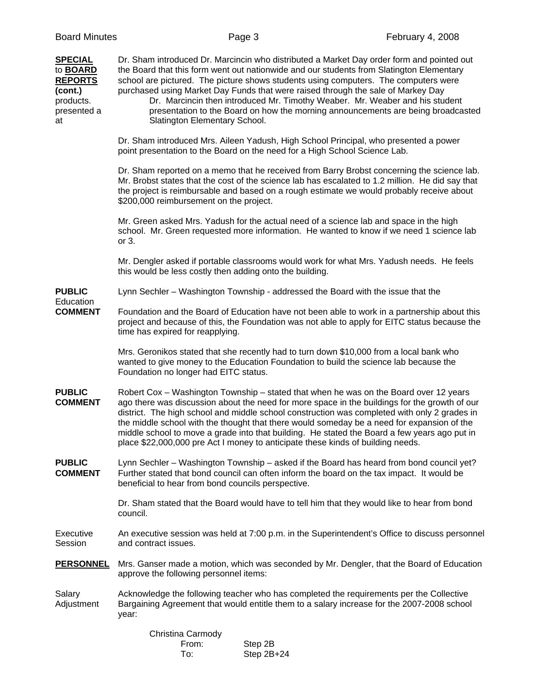| <b>SPECIAL</b><br>to <b>BOARD</b><br><b>REPORTS</b><br>(cont.)<br>products.<br>presented a<br>at | Dr. Sham introduced Dr. Marcincin who distributed a Market Day order form and pointed out<br>the Board that this form went out nationwide and our students from Slatington Elementary<br>school are pictured. The picture shows students using computers. The computers were<br>purchased using Market Day Funds that were raised through the sale of Markey Day<br>Dr. Marcincin then introduced Mr. Timothy Weaber. Mr. Weaber and his student<br>presentation to the Board on how the morning announcements are being broadcasted<br>Slatington Elementary School.   |
|--------------------------------------------------------------------------------------------------|-------------------------------------------------------------------------------------------------------------------------------------------------------------------------------------------------------------------------------------------------------------------------------------------------------------------------------------------------------------------------------------------------------------------------------------------------------------------------------------------------------------------------------------------------------------------------|
|                                                                                                  | Dr. Sham introduced Mrs. Aileen Yadush, High School Principal, who presented a power<br>point presentation to the Board on the need for a High School Science Lab.                                                                                                                                                                                                                                                                                                                                                                                                      |
|                                                                                                  | Dr. Sham reported on a memo that he received from Barry Brobst concerning the science lab.<br>Mr. Brobst states that the cost of the science lab has escalated to 1.2 million. He did say that<br>the project is reimbursable and based on a rough estimate we would probably receive about<br>\$200,000 reimbursement on the project.                                                                                                                                                                                                                                  |
|                                                                                                  | Mr. Green asked Mrs. Yadush for the actual need of a science lab and space in the high<br>school. Mr. Green requested more information. He wanted to know if we need 1 science lab<br>or $3.$                                                                                                                                                                                                                                                                                                                                                                           |
|                                                                                                  | Mr. Dengler asked if portable classrooms would work for what Mrs. Yadush needs. He feels<br>this would be less costly then adding onto the building.                                                                                                                                                                                                                                                                                                                                                                                                                    |
| <b>PUBLIC</b>                                                                                    | Lynn Sechler – Washington Township - addressed the Board with the issue that the                                                                                                                                                                                                                                                                                                                                                                                                                                                                                        |
| Education<br><b>COMMENT</b>                                                                      | Foundation and the Board of Education have not been able to work in a partnership about this<br>project and because of this, the Foundation was not able to apply for EITC status because the<br>time has expired for reapplying.                                                                                                                                                                                                                                                                                                                                       |
|                                                                                                  | Mrs. Geronikos stated that she recently had to turn down \$10,000 from a local bank who<br>wanted to give money to the Education Foundation to build the science lab because the<br>Foundation no longer had EITC status.                                                                                                                                                                                                                                                                                                                                               |
| <b>PUBLIC</b><br><b>COMMENT</b>                                                                  | Robert Cox – Washington Township – stated that when he was on the Board over 12 years<br>ago there was discussion about the need for more space in the buildings for the growth of our<br>district. The high school and middle school construction was completed with only 2 grades in<br>the middle school with the thought that there would someday be a need for expansion of the<br>middle school to move a grade into that building. He stated the Board a few years ago put in<br>place \$22,000,000 pre Act I money to anticipate these kinds of building needs. |
| <b>PUBLIC</b><br><b>COMMENT</b>                                                                  | Lynn Sechler – Washington Township – asked if the Board has heard from bond council yet?<br>Further stated that bond council can often inform the board on the tax impact. It would be<br>beneficial to hear from bond councils perspective.                                                                                                                                                                                                                                                                                                                            |
|                                                                                                  | Dr. Sham stated that the Board would have to tell him that they would like to hear from bond<br>council.                                                                                                                                                                                                                                                                                                                                                                                                                                                                |
| Executive<br>Session                                                                             | An executive session was held at 7:00 p.m. in the Superintendent's Office to discuss personnel<br>and contract issues.                                                                                                                                                                                                                                                                                                                                                                                                                                                  |
| <b>PERSONNEL</b>                                                                                 | Mrs. Ganser made a motion, which was seconded by Mr. Dengler, that the Board of Education<br>approve the following personnel items:                                                                                                                                                                                                                                                                                                                                                                                                                                     |
| Salary<br>Adjustment                                                                             | Acknowledge the following teacher who has completed the requirements per the Collective<br>Bargaining Agreement that would entitle them to a salary increase for the 2007-2008 school<br>year:                                                                                                                                                                                                                                                                                                                                                                          |
|                                                                                                  | Christina Carmody                                                                                                                                                                                                                                                                                                                                                                                                                                                                                                                                                       |

 From: Step 2B To: Step 2B+24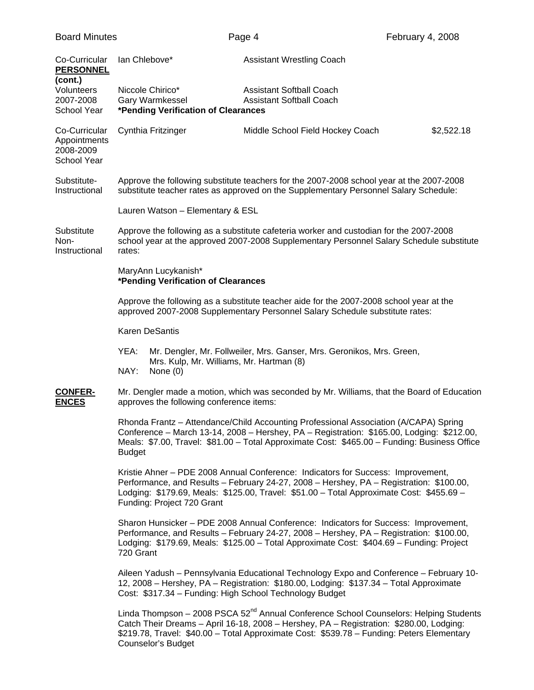| <b>Board Minutes</b>                                      |                                                                            | February 4, 2008<br>Page 4                                                                                                                                                                                                                                                                |            |
|-----------------------------------------------------------|----------------------------------------------------------------------------|-------------------------------------------------------------------------------------------------------------------------------------------------------------------------------------------------------------------------------------------------------------------------------------------|------------|
| Co-Curricular<br><b>PERSONNEL</b><br>(cont.)              | lan Chlebove*                                                              | <b>Assistant Wrestling Coach</b>                                                                                                                                                                                                                                                          |            |
| Volunteers<br>2007-2008<br>School Year                    | Niccole Chirico*<br>Gary Warmkessel<br>*Pending Verification of Clearances | <b>Assistant Softball Coach</b><br><b>Assistant Softball Coach</b>                                                                                                                                                                                                                        |            |
| Co-Curricular<br>Appointments<br>2008-2009<br>School Year | Cynthia Fritzinger                                                         | Middle School Field Hockey Coach                                                                                                                                                                                                                                                          | \$2,522.18 |
| Substitute-<br>Instructional                              |                                                                            | Approve the following substitute teachers for the 2007-2008 school year at the 2007-2008<br>substitute teacher rates as approved on the Supplementary Personnel Salary Schedule:                                                                                                          |            |
|                                                           | Lauren Watson - Elementary & ESL                                           |                                                                                                                                                                                                                                                                                           |            |
| Substitute<br>Non-<br>Instructional                       | rates:                                                                     | Approve the following as a substitute cafeteria worker and custodian for the 2007-2008<br>school year at the approved 2007-2008 Supplementary Personnel Salary Schedule substitute                                                                                                        |            |
|                                                           | MaryAnn Lucykanish*<br>*Pending Verification of Clearances                 |                                                                                                                                                                                                                                                                                           |            |
|                                                           |                                                                            | Approve the following as a substitute teacher aide for the 2007-2008 school year at the<br>approved 2007-2008 Supplementary Personnel Salary Schedule substitute rates:                                                                                                                   |            |
|                                                           | <b>Karen DeSantis</b>                                                      |                                                                                                                                                                                                                                                                                           |            |
|                                                           | YEA:<br>Mrs. Kulp, Mr. Williams, Mr. Hartman (8)<br>NAY:<br>None $(0)$     | Mr. Dengler, Mr. Follweiler, Mrs. Ganser, Mrs. Geronikos, Mrs. Green,                                                                                                                                                                                                                     |            |
| <b>CONFER-</b><br><b>ENCES</b>                            | approves the following conference items:                                   | Mr. Dengler made a motion, which was seconded by Mr. Williams, that the Board of Education                                                                                                                                                                                                |            |
|                                                           | <b>Budget</b>                                                              | Rhonda Frantz - Attendance/Child Accounting Professional Association (A/CAPA) Spring<br>Conference - March 13-14, 2008 - Hershey, PA - Registration: \$165.00, Lodging: \$212.00,<br>Meals: \$7.00, Travel: \$81.00 - Total Approximate Cost: \$465.00 - Funding: Business Office         |            |
|                                                           | Funding: Project 720 Grant                                                 | Kristie Ahner - PDE 2008 Annual Conference: Indicators for Success: Improvement,<br>Performance, and Results - February 24-27, 2008 - Hershey, PA - Registration: \$100.00,<br>Lodging: \$179.69, Meals: \$125.00, Travel: \$51.00 - Total Approximate Cost: \$455.69 -                   |            |
|                                                           | 720 Grant                                                                  | Sharon Hunsicker - PDE 2008 Annual Conference: Indicators for Success: Improvement,<br>Performance, and Results - February 24-27, 2008 - Hershey, PA - Registration: \$100.00,<br>Lodging: \$179.69, Meals: \$125.00 - Total Approximate Cost: \$404.69 - Funding: Project                |            |
|                                                           | Cost: \$317.34 - Funding: High School Technology Budget                    | Aileen Yadush - Pennsylvania Educational Technology Expo and Conference - February 10-<br>12, 2008 - Hershey, PA - Registration: \$180.00, Lodging: \$137.34 - Total Approximate                                                                                                          |            |
|                                                           | Counselor's Budget                                                         | Linda Thompson - 2008 PSCA 52 <sup>nd</sup> Annual Conference School Counselors: Helping Students<br>Catch Their Dreams - April 16-18, 2008 - Hershey, PA - Registration: \$280.00, Lodging:<br>\$219.78, Travel: \$40.00 - Total Approximate Cost: \$539.78 - Funding: Peters Elementary |            |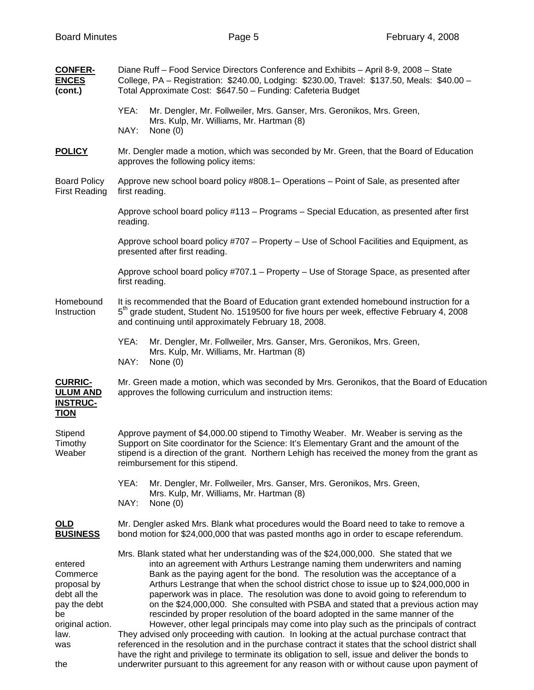| <b>CONFER-</b><br><b>ENCES</b><br>(cont.)                                                                          | Diane Ruff - Food Service Directors Conference and Exhibits - April 8-9, 2008 - State<br>College, PA - Registration: \$240.00, Lodging: \$230.00, Travel: \$137.50, Meals: \$40.00 -<br>Total Approximate Cost: \$647.50 - Funding: Cafeteria Budget                                                                                                                                                                                                                                                                                                                                                                                                                                                                                                                                                                                                                                                                                                                                                                                                                                                    |  |  |
|--------------------------------------------------------------------------------------------------------------------|---------------------------------------------------------------------------------------------------------------------------------------------------------------------------------------------------------------------------------------------------------------------------------------------------------------------------------------------------------------------------------------------------------------------------------------------------------------------------------------------------------------------------------------------------------------------------------------------------------------------------------------------------------------------------------------------------------------------------------------------------------------------------------------------------------------------------------------------------------------------------------------------------------------------------------------------------------------------------------------------------------------------------------------------------------------------------------------------------------|--|--|
|                                                                                                                    | YEA:<br>Mr. Dengler, Mr. Follweiler, Mrs. Ganser, Mrs. Geronikos, Mrs. Green,<br>Mrs. Kulp, Mr. Williams, Mr. Hartman (8)<br>NAY:<br>None $(0)$                                                                                                                                                                                                                                                                                                                                                                                                                                                                                                                                                                                                                                                                                                                                                                                                                                                                                                                                                         |  |  |
| <b>POLICY</b>                                                                                                      | Mr. Dengler made a motion, which was seconded by Mr. Green, that the Board of Education<br>approves the following policy items:                                                                                                                                                                                                                                                                                                                                                                                                                                                                                                                                                                                                                                                                                                                                                                                                                                                                                                                                                                         |  |  |
| <b>Board Policy</b><br><b>First Reading</b>                                                                        | Approve new school board policy #808.1– Operations – Point of Sale, as presented after<br>first reading.                                                                                                                                                                                                                                                                                                                                                                                                                                                                                                                                                                                                                                                                                                                                                                                                                                                                                                                                                                                                |  |  |
|                                                                                                                    | Approve school board policy #113 - Programs - Special Education, as presented after first<br>reading.                                                                                                                                                                                                                                                                                                                                                                                                                                                                                                                                                                                                                                                                                                                                                                                                                                                                                                                                                                                                   |  |  |
|                                                                                                                    | Approve school board policy #707 – Property – Use of School Facilities and Equipment, as<br>presented after first reading.                                                                                                                                                                                                                                                                                                                                                                                                                                                                                                                                                                                                                                                                                                                                                                                                                                                                                                                                                                              |  |  |
|                                                                                                                    | Approve school board policy #707.1 - Property - Use of Storage Space, as presented after<br>first reading.                                                                                                                                                                                                                                                                                                                                                                                                                                                                                                                                                                                                                                                                                                                                                                                                                                                                                                                                                                                              |  |  |
| Homebound<br>Instruction                                                                                           | It is recommended that the Board of Education grant extended homebound instruction for a<br>5 <sup>th</sup> grade student, Student No. 1519500 for five hours per week, effective February 4, 2008<br>and continuing until approximately February 18, 2008.                                                                                                                                                                                                                                                                                                                                                                                                                                                                                                                                                                                                                                                                                                                                                                                                                                             |  |  |
|                                                                                                                    | YEA:<br>Mr. Dengler, Mr. Follweiler, Mrs. Ganser, Mrs. Geronikos, Mrs. Green,<br>Mrs. Kulp, Mr. Williams, Mr. Hartman (8)<br>NAY:<br>None $(0)$                                                                                                                                                                                                                                                                                                                                                                                                                                                                                                                                                                                                                                                                                                                                                                                                                                                                                                                                                         |  |  |
| <b>CURRIC-</b><br><b>ULUM AND</b><br><b>INSTRUC-</b><br><b>TION</b>                                                | Mr. Green made a motion, which was seconded by Mrs. Geronikos, that the Board of Education<br>approves the following curriculum and instruction items:                                                                                                                                                                                                                                                                                                                                                                                                                                                                                                                                                                                                                                                                                                                                                                                                                                                                                                                                                  |  |  |
| Stipend<br>Timothy<br>Weaber                                                                                       | Approve payment of \$4,000.00 stipend to Timothy Weaber. Mr. Weaber is serving as the<br>Support on Site coordinator for the Science: It's Elementary Grant and the amount of the<br>stipend is a direction of the grant. Northern Lehigh has received the money from the grant as<br>reimbursement for this stipend.                                                                                                                                                                                                                                                                                                                                                                                                                                                                                                                                                                                                                                                                                                                                                                                   |  |  |
|                                                                                                                    | YEA:<br>Mr. Dengler, Mr. Follweiler, Mrs. Ganser, Mrs. Geronikos, Mrs. Green,<br>Mrs. Kulp, Mr. Williams, Mr. Hartman (8)<br>NAY:<br>None $(0)$                                                                                                                                                                                                                                                                                                                                                                                                                                                                                                                                                                                                                                                                                                                                                                                                                                                                                                                                                         |  |  |
| OLD<br><b>BUSINESS</b>                                                                                             | Mr. Dengler asked Mrs. Blank what procedures would the Board need to take to remove a<br>bond motion for \$24,000,000 that was pasted months ago in order to escape referendum.                                                                                                                                                                                                                                                                                                                                                                                                                                                                                                                                                                                                                                                                                                                                                                                                                                                                                                                         |  |  |
| entered<br>Commerce<br>proposal by<br>debt all the<br>pay the debt<br>be<br>original action.<br>law.<br>was<br>the | Mrs. Blank stated what her understanding was of the \$24,000,000. She stated that we<br>into an agreement with Arthurs Lestrange naming them underwriters and naming<br>Bank as the paying agent for the bond. The resolution was the acceptance of a<br>Arthurs Lestrange that when the school district chose to issue up to \$24,000,000 in<br>paperwork was in place. The resolution was done to avoid going to referendum to<br>on the \$24,000,000. She consulted with PSBA and stated that a previous action may<br>rescinded by proper resolution of the board adopted in the same manner of the<br>However, other legal principals may come into play such as the principals of contract<br>They advised only proceeding with caution. In looking at the actual purchase contract that<br>referenced in the resolution and in the purchase contract it states that the school district shall<br>have the right and privilege to terminate its obligation to sell, issue and deliver the bonds to<br>underwriter pursuant to this agreement for any reason with or without cause upon payment of |  |  |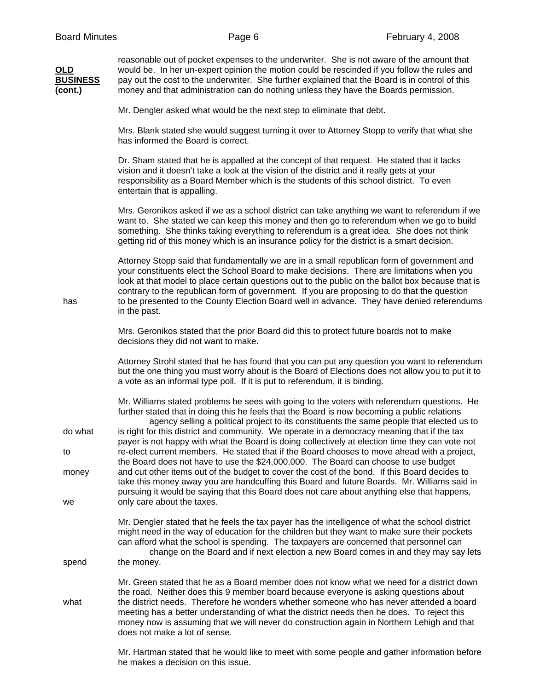| OLD<br><b>BUSINESS</b><br>(cont.) | reasonable out of pocket expenses to the underwriter. She is not aware of the amount that<br>would be. In her un-expert opinion the motion could be rescinded if you follow the rules and<br>pay out the cost to the underwriter. She further explained that the Board is in control of this<br>money and that administration can do nothing unless they have the Boards permission.                                                                                                                       |
|-----------------------------------|------------------------------------------------------------------------------------------------------------------------------------------------------------------------------------------------------------------------------------------------------------------------------------------------------------------------------------------------------------------------------------------------------------------------------------------------------------------------------------------------------------|
|                                   | Mr. Dengler asked what would be the next step to eliminate that debt.                                                                                                                                                                                                                                                                                                                                                                                                                                      |
|                                   | Mrs. Blank stated she would suggest turning it over to Attorney Stopp to verify that what she<br>has informed the Board is correct.                                                                                                                                                                                                                                                                                                                                                                        |
|                                   | Dr. Sham stated that he is appalled at the concept of that request. He stated that it lacks<br>vision and it doesn't take a look at the vision of the district and it really gets at your<br>responsibility as a Board Member which is the students of this school district. To even<br>entertain that is appalling.                                                                                                                                                                                       |
|                                   | Mrs. Geronikos asked if we as a school district can take anything we want to referendum if we<br>want to. She stated we can keep this money and then go to referendum when we go to build<br>something. She thinks taking everything to referendum is a great idea. She does not think<br>getting rid of this money which is an insurance policy for the district is a smart decision.                                                                                                                     |
| has                               | Attorney Stopp said that fundamentally we are in a small republican form of government and<br>your constituents elect the School Board to make decisions. There are limitations when you<br>look at that model to place certain questions out to the public on the ballot box because that is<br>contrary to the republican form of government. If you are proposing to do that the question<br>to be presented to the County Election Board well in advance. They have denied referendums<br>in the past. |
|                                   | Mrs. Geronikos stated that the prior Board did this to protect future boards not to make<br>decisions they did not want to make.                                                                                                                                                                                                                                                                                                                                                                           |
|                                   | Attorney Strohl stated that he has found that you can put any question you want to referendum<br>but the one thing you must worry about is the Board of Elections does not allow you to put it to<br>a vote as an informal type poll. If it is put to referendum, it is binding.                                                                                                                                                                                                                           |
|                                   | Mr. Williams stated problems he sees with going to the voters with referendum questions. He<br>further stated that in doing this he feels that the Board is now becoming a public relations<br>agency selling a political project to its constituents the same people that elected us to                                                                                                                                                                                                                   |
| do what                           | is right for this district and community. We operate in a democracy meaning that if the tax<br>payer is not happy with what the Board is doing collectively at election time they can vote not                                                                                                                                                                                                                                                                                                             |
| to<br>money                       | re-elect current members. He stated that if the Board chooses to move ahead with a project,<br>the Board does not have to use the \$24,000,000. The Board can choose to use budget<br>and cut other items out of the budget to cover the cost of the bond. If this Board decides to<br>take this money away you are handcuffing this Board and future Boards. Mr. Williams said in                                                                                                                         |
| we                                | pursuing it would be saying that this Board does not care about anything else that happens,<br>only care about the taxes.                                                                                                                                                                                                                                                                                                                                                                                  |
| spend                             | Mr. Dengler stated that he feels the tax payer has the intelligence of what the school district<br>might need in the way of education for the children but they want to make sure their pockets<br>can afford what the school is spending. The taxpayers are concerned that personnel can<br>change on the Board and if next election a new Board comes in and they may say lets<br>the money.                                                                                                             |
| what                              | Mr. Green stated that he as a Board member does not know what we need for a district down<br>the road. Neither does this 9 member board because everyone is asking questions about<br>the district needs. Therefore he wonders whether someone who has never attended a board<br>meeting has a better understanding of what the district needs then he does. To reject this<br>money now is assuming that we will never do construction again in Northern Lehigh and that<br>does not make a lot of sense. |
|                                   | Mr. Hartman stated that he would like to meet with some people and gather information before                                                                                                                                                                                                                                                                                                                                                                                                               |

he makes a decision on this issue.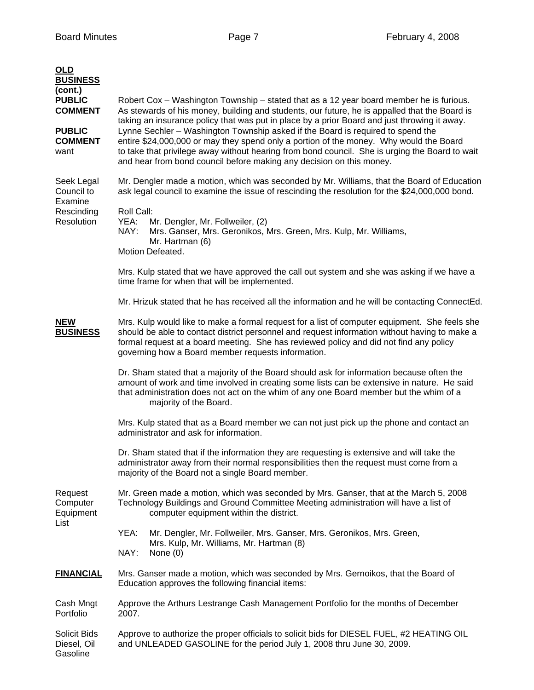| <b>OLD</b><br><b>BUSINESS</b><br>(cont.)<br><b>PUBLIC</b><br><b>COMMENT</b><br><b>PUBLIC</b><br><b>COMMENT</b><br>want | Robert Cox – Washington Township – stated that as a 12 year board member he is furious.<br>As stewards of his money, building and students, our future, he is appalled that the Board is<br>taking an insurance policy that was put in place by a prior Board and just throwing it away.<br>Lynne Sechler - Washington Township asked if the Board is required to spend the<br>entire \$24,000,000 or may they spend only a portion of the money. Why would the Board<br>to take that privilege away without hearing from bond council. She is urging the Board to wait<br>and hear from bond council before making any decision on this money. |  |
|------------------------------------------------------------------------------------------------------------------------|-------------------------------------------------------------------------------------------------------------------------------------------------------------------------------------------------------------------------------------------------------------------------------------------------------------------------------------------------------------------------------------------------------------------------------------------------------------------------------------------------------------------------------------------------------------------------------------------------------------------------------------------------|--|
| Seek Legal<br>Council to<br>Examine<br>Rescinding<br>Resolution                                                        | Mr. Dengler made a motion, which was seconded by Mr. Williams, that the Board of Education<br>ask legal council to examine the issue of rescinding the resolution for the \$24,000,000 bond.<br>Roll Call:<br>YEA:<br>Mr. Dengler, Mr. Follweiler, (2)<br>NAY:<br>Mrs. Ganser, Mrs. Geronikos, Mrs. Green, Mrs. Kulp, Mr. Williams,                                                                                                                                                                                                                                                                                                             |  |
|                                                                                                                        | Mr. Hartman (6)<br>Motion Defeated.<br>Mrs. Kulp stated that we have approved the call out system and she was asking if we have a<br>time frame for when that will be implemented.                                                                                                                                                                                                                                                                                                                                                                                                                                                              |  |
|                                                                                                                        | Mr. Hrizuk stated that he has received all the information and he will be contacting ConnectEd.                                                                                                                                                                                                                                                                                                                                                                                                                                                                                                                                                 |  |
| <b>NEW</b><br><b>BUSINESS</b>                                                                                          | Mrs. Kulp would like to make a formal request for a list of computer equipment. She feels she<br>should be able to contact district personnel and request information without having to make a<br>formal request at a board meeting. She has reviewed policy and did not find any policy<br>governing how a Board member requests information.                                                                                                                                                                                                                                                                                                  |  |
|                                                                                                                        | Dr. Sham stated that a majority of the Board should ask for information because often the<br>amount of work and time involved in creating some lists can be extensive in nature. He said<br>that administration does not act on the whim of any one Board member but the whim of a<br>majority of the Board.                                                                                                                                                                                                                                                                                                                                    |  |
|                                                                                                                        | Mrs. Kulp stated that as a Board member we can not just pick up the phone and contact an<br>administrator and ask for information.                                                                                                                                                                                                                                                                                                                                                                                                                                                                                                              |  |
|                                                                                                                        | Dr. Sham stated that if the information they are requesting is extensive and will take the<br>administrator away from their normal responsibilities then the request must come from a<br>majority of the Board not a single Board member.                                                                                                                                                                                                                                                                                                                                                                                                       |  |
| Request<br>Computer<br>Equipment                                                                                       | Mr. Green made a motion, which was seconded by Mrs. Ganser, that at the March 5, 2008<br>Technology Buildings and Ground Committee Meeting administration will have a list of<br>computer equipment within the district.                                                                                                                                                                                                                                                                                                                                                                                                                        |  |
| List                                                                                                                   | Mr. Dengler, Mr. Follweiler, Mrs. Ganser, Mrs. Geronikos, Mrs. Green,<br>YEA:                                                                                                                                                                                                                                                                                                                                                                                                                                                                                                                                                                   |  |
|                                                                                                                        | Mrs. Kulp, Mr. Williams, Mr. Hartman (8)<br>NAY:<br>None $(0)$                                                                                                                                                                                                                                                                                                                                                                                                                                                                                                                                                                                  |  |
| <b>FINANCIAL</b>                                                                                                       | Mrs. Ganser made a motion, which was seconded by Mrs. Gernoikos, that the Board of<br>Education approves the following financial items:                                                                                                                                                                                                                                                                                                                                                                                                                                                                                                         |  |
| Cash Mngt<br>Portfolio                                                                                                 | Approve the Arthurs Lestrange Cash Management Portfolio for the months of December<br>2007.                                                                                                                                                                                                                                                                                                                                                                                                                                                                                                                                                     |  |
| Solicit Bids<br>Diesel, Oil<br>Gasoline                                                                                | Approve to authorize the proper officials to solicit bids for DIESEL FUEL, #2 HEATING OIL<br>and UNLEADED GASOLINE for the period July 1, 2008 thru June 30, 2009.                                                                                                                                                                                                                                                                                                                                                                                                                                                                              |  |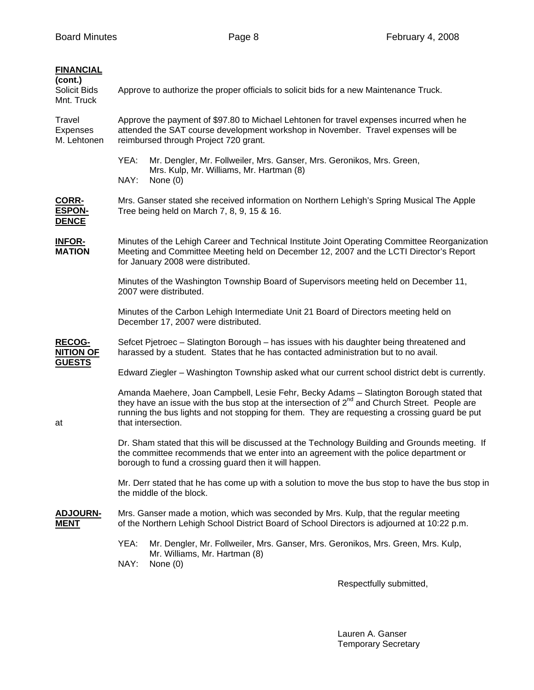| <b>FINANCIAL</b><br>(cont.)<br>Solicit Bids<br>Mnt. Truck | Approve to authorize the proper officials to solicit bids for a new Maintenance Truck.                                                                                                                                                                                                                                      |  |  |
|-----------------------------------------------------------|-----------------------------------------------------------------------------------------------------------------------------------------------------------------------------------------------------------------------------------------------------------------------------------------------------------------------------|--|--|
| Travel<br>Expenses<br>M. Lehtonen                         | Approve the payment of \$97.80 to Michael Lehtonen for travel expenses incurred when he<br>attended the SAT course development workshop in November. Travel expenses will be<br>reimbursed through Project 720 grant.                                                                                                       |  |  |
|                                                           | YEA:<br>Mr. Dengler, Mr. Follweiler, Mrs. Ganser, Mrs. Geronikos, Mrs. Green,<br>Mrs. Kulp, Mr. Williams, Mr. Hartman (8)<br>NAY:<br>None $(0)$                                                                                                                                                                             |  |  |
| CORR-<br><b>ESPON-</b><br><b>DENCE</b>                    | Mrs. Ganser stated she received information on Northern Lehigh's Spring Musical The Apple<br>Tree being held on March 7, 8, 9, 15 & 16.                                                                                                                                                                                     |  |  |
| <b>INFOR-</b><br><b>MATION</b>                            | Minutes of the Lehigh Career and Technical Institute Joint Operating Committee Reorganization<br>Meeting and Committee Meeting held on December 12, 2007 and the LCTI Director's Report<br>for January 2008 were distributed.                                                                                               |  |  |
|                                                           | Minutes of the Washington Township Board of Supervisors meeting held on December 11,<br>2007 were distributed.                                                                                                                                                                                                              |  |  |
|                                                           | Minutes of the Carbon Lehigh Intermediate Unit 21 Board of Directors meeting held on<br>December 17, 2007 were distributed.                                                                                                                                                                                                 |  |  |
| <b>RECOG-</b><br><b>NITION OF</b><br><b>GUESTS</b>        | Sefcet Pjetroec - Slatington Borough - has issues with his daughter being threatened and<br>harassed by a student. States that he has contacted administration but to no avail.                                                                                                                                             |  |  |
|                                                           | Edward Ziegler - Washington Township asked what our current school district debt is currently.                                                                                                                                                                                                                              |  |  |
| at                                                        | Amanda Maehere, Joan Campbell, Lesie Fehr, Becky Adams - Slatington Borough stated that<br>they have an issue with the bus stop at the intersection of 2 <sup>nd</sup> and Church Street. People are<br>running the bus lights and not stopping for them. They are requesting a crossing guard be put<br>that intersection. |  |  |
|                                                           | Dr. Sham stated that this will be discussed at the Technology Building and Grounds meeting. If<br>the committee recommends that we enter into an agreement with the police department or<br>borough to fund a crossing guard then it will happen.                                                                           |  |  |
|                                                           | Mr. Derr stated that he has come up with a solution to move the bus stop to have the bus stop in<br>the middle of the block.                                                                                                                                                                                                |  |  |
| <b>ADJOURN-</b><br>MENT                                   | Mrs. Ganser made a motion, which was seconded by Mrs. Kulp, that the regular meeting<br>of the Northern Lehigh School District Board of School Directors is adjourned at 10:22 p.m.                                                                                                                                         |  |  |
|                                                           | YEA:<br>Mr. Dengler, Mr. Follweiler, Mrs. Ganser, Mrs. Geronikos, Mrs. Green, Mrs. Kulp,<br>Mr. Williams, Mr. Hartman (8)<br>NAY:<br>None $(0)$                                                                                                                                                                             |  |  |

Respectfully submitted,